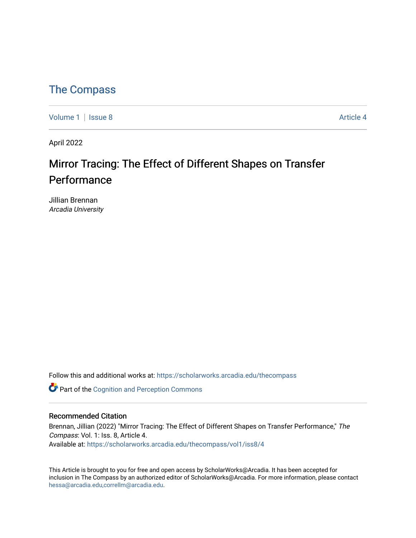### [The Compass](https://scholarworks.arcadia.edu/thecompass)

[Volume 1](https://scholarworks.arcadia.edu/thecompass/vol1) | [Issue 8](https://scholarworks.arcadia.edu/thecompass/vol1/iss8) Article 4

April 2022

## Mirror Tracing: The Effect of Different Shapes on Transfer Performance

Jillian Brennan Arcadia University

Follow this and additional works at: [https://scholarworks.arcadia.edu/thecompass](https://scholarworks.arcadia.edu/thecompass?utm_source=scholarworks.arcadia.edu%2Fthecompass%2Fvol1%2Fiss8%2F4&utm_medium=PDF&utm_campaign=PDFCoverPages) 

**C** Part of the Cognition and Perception Commons

#### Recommended Citation

Brennan, Jillian (2022) "Mirror Tracing: The Effect of Different Shapes on Transfer Performance," The Compass: Vol. 1: Iss. 8, Article 4. Available at: [https://scholarworks.arcadia.edu/thecompass/vol1/iss8/4](https://scholarworks.arcadia.edu/thecompass/vol1/iss8/4?utm_source=scholarworks.arcadia.edu%2Fthecompass%2Fvol1%2Fiss8%2F4&utm_medium=PDF&utm_campaign=PDFCoverPages)

This Article is brought to you for free and open access by ScholarWorks@Arcadia. It has been accepted for inclusion in The Compass by an authorized editor of ScholarWorks@Arcadia. For more information, please contact [hessa@arcadia.edu,correllm@arcadia.edu](mailto:hessa@arcadia.edu,correllm@arcadia.edu).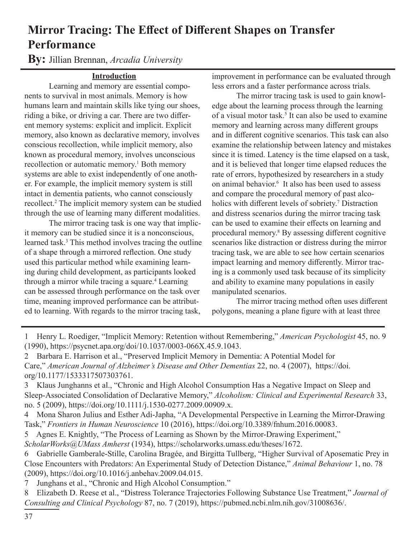## **Mirror Tracing: The Effect of Different Shapes on Transfer Performance**

**By:** Jillian Brennan, *Arcadia University*

#### **Introduction**

Learning and memory are essential components to survival in most animals. Memory is how humans learn and maintain skills like tying our shoes, riding a bike, or driving a car. There are two different memory systems: explicit and implicit. Explicit memory, also known as declarative memory, involves conscious recollection, while implicit memory, also known as procedural memory, involves unconscious recollection or automatic memory.<sup>1</sup> Both memory systems are able to exist independently of one another. For example, the implicit memory system is still intact in dementia patients, who cannot consciously recollect.2 The implicit memory system can be studied through the use of learning many different modalities.

The mirror tracing task is one way that implicit memory can be studied since it is a nonconscious, learned task.3 This method involves tracing the outline of a shape through a mirrored reflection. One study used this particular method while examining learning during child development, as participants looked through a mirror while tracing a square.<sup>4</sup> Learning can be assessed through performance on the task over time, meaning improved performance can be attributed to learning. With regards to the mirror tracing task,

improvement in performance can be evaluated through less errors and a faster performance across trials.

The mirror tracing task is used to gain knowledge about the learning process through the learning of a visual motor task.<sup>5</sup> It can also be used to examine memory and learning across many different groups and in different cognitive scenarios. This task can also examine the relationship between latency and mistakes since it is timed. Latency is the time elapsed on a task, and it is believed that longer time elapsed reduces the rate of errors, hypothesized by researchers in a study on animal behavior.6 It also has been used to assess and compare the procedural memory of past alcoholics with different levels of sobriety.<sup>7</sup> Distraction and distress scenarios during the mirror tracing task can be used to examine their effects on learning and procedural memory.8 By assessing different cognitive scenarios like distraction or distress during the mirror tracing task, we are able to see how certain scenarios impact learning and memory differently. Mirror tracing is a commonly used task because of its simplicity and ability to examine many populations in easily manipulated scenarios.

The mirror tracing method often uses different polygons, meaning a plane figure with at least three

1 Henry L. Roediger, "Implicit Memory: Retention without Remembering," *American Psychologist* 45, no. 9 (1990), https://psycnet.apa.org/doi/10.1037/0003-066X.45.9.1043.

2 Barbara E. Harrison et al., "Preserved Implicit Memory in Dementia: A Potential Model for Care," *American Journal of Alzheimer's Disease and Other Dementias* 22, no. 4 (2007), https://doi. org/10.1177/1533317507303761.

3 Klaus Junghanns et al., "Chronic and High Alcohol Consumption Has a Negative Impact on Sleep and Sleep-Associated Consolidation of Declarative Memory," *Alcoholism: Clinical and Experimental Research* 33, no. 5 (2009), https://doi.org/10.1111/j.1530-0277.2009.00909.x.

4 Mona Sharon Julius and Esther Adi-Japha, "A Developmental Perspective in Learning the Mirror-Drawing Task," *Frontiers in Human Neuroscience* 10 (2016), https://doi.org/10.3389/fnhum.2016.00083.

5 Agnes E. Knightly, "The Process of Learning as Shown by the Mirror-Drawing Experiment," *ScholarWorks@UMass Amherst* (1934), https://scholarworks.umass.edu/theses/1672.

6 Gabrielle Gamberale-Stille, Carolina Bragée, and Birgitta Tullberg, "Higher Survival of Aposematic Prey in Close Encounters with Predators: An Experimental Study of Detection Distance," *Animal Behaviour* 1, no. 78 (2009), https://doi.org/10.1016/j.anbehav.2009.04.015.

7 Junghans et al., "Chronic and High Alcohol Consumption."

8 Elizabeth D. Reese et al., "Distress Tolerance Trajectories Following Substance Use Treatment," *Journal of Consulting and Clinical Psychology* 87, no. 7 (2019), https://pubmed.ncbi.nlm.nih.gov/31008636/.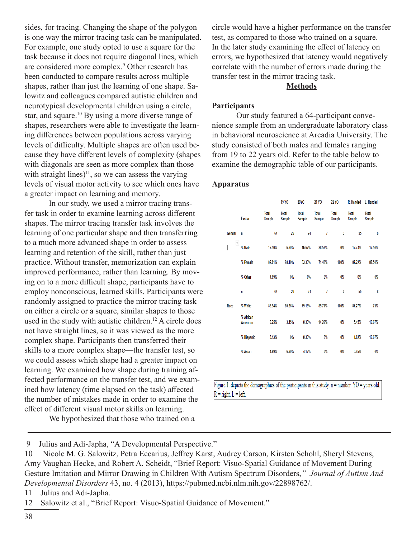sides, for tracing. Changing the shape of the polygon is one way the mirror tracing task can be manipulated. For example, one study opted to use a square for the task because it does not require diagonal lines, which are considered more complex.<sup>9</sup> Other research has been conducted to compare results across multiple shapes, rather than just the learning of one shape. Salowitz and colleagues compared autistic children and neurotypical developmental children using a circle, star, and square.<sup>10</sup> By using a more diverse range of shapes, researchers were able to investigate the learning differences between populations across varying levels of difficulty. Multiple shapes are often used because they have different levels of complexity (shapes with diagonals are seen as more complex than those with straight lines) $11$ , so we can assess the varying levels of visual motor activity to see which ones have a greater impact on learning and memory.

In our study, we used a mirror tracing transfer task in order to examine learning across different shapes. The mirror tracing transfer task involves the learning of one particular shape and then transferring to a much more advanced shape in order to assess learning and retention of the skill, rather than just practice. Without transfer, memorization can explain improved performance, rather than learning. By moving on to a more difficult shape, participants have to employ nonconscious, learned skills. Participants were randomly assigned to practice the mirror tracing task on either a circle or a square, similar shapes to those used in the study with autistic children.<sup>12</sup> A circle does not have straight lines, so it was viewed as the more complex shape. Participants then transferred their skills to a more complex shape—the transfer test, so we could assess which shape had a greater impact on learning. We examined how shape during training affected performance on the transfer test, and we examined how latency (time elapsed on the task) affected the number of mistakes made in order to examine the effect of different visual motor skills on learning.

We hypothesized that those who trained on a

circle would have a higher performance on the transfer test, as compared to those who trained on a square. In the later study examining the effect of latency on errors, we hypothesized that latency would negatively correlate with the number of errors made during the transfer test in the mirror tracing task.

#### **Methods**

#### **Participants**

Our study featured a 64-participant convenience sample from an undergraduate laboratory class in behavioral neuroscience at Arcadia University. The study consisted of both males and females ranging from 19 to 22 years old. Refer to the table below to examine the demographic table of our participants.

#### **Apparatus**

|                        |                 | 19 YO                  | <b>20YO</b>            | 21 YO                  | <b>22 YO</b>    | R. Handed              | L. Handed              |
|------------------------|-----------------|------------------------|------------------------|------------------------|-----------------|------------------------|------------------------|
| Factor                 | Total<br>Sample | Total<br><b>Sample</b> | Total<br><b>Sample</b> | Total<br><b>Sample</b> | Total<br>Sample | <b>Total</b><br>Sample | Total<br><b>Sample</b> |
| n                      | 64              | 29                     | $\overline{24}$        | 7                      | $\overline{3}$  | 55                     | 8                      |
| $\mathbf{v}$<br>% Male | 12.50%          | 6.90%                  | 16.67%                 | 28.57%                 | $0\%$           | 12.73%                 | 12.50%                 |
| % Female               | 82.81%          | 93.10%                 | 83.33%                 | 71.43%                 | 100%            | 87.22%                 | 87.50%                 |
| % Other                | 4.69%           | 0%                     | 0%                     | 0%                     | $0\%$           | $0\%$                  | 0%                     |
| n                      | 64              | 29                     | $\overline{24}$        | 7                      | $\overline{3}$  | 55                     | 8                      |
| % White                | 85.94%          | 89.66%                 | 79.19%                 | 85.71%                 | 100%            | 87.27%                 | 75%                    |
| % African<br>American  | 6.25%           | 3.45%                  | 8.33%                  | 14.29%                 | $0\%$           | 5.45%                  | 16.67%                 |
| % Hispanic             | 3.13%           | 0%                     | 8.33%                  | 0%                     | $0\%$           | 1.82%                  | 16.67%                 |
| % Asian                | 4.69%           | 6.90%                  | 4.17%                  | 0%                     | $0\%$           | 5.45%                  | 0%                     |
|                        |                 |                        |                        |                        |                 |                        |                        |

Figure 1. depicts the demographics of the participants in this study.  $n = number$ .  $YO = years$  old.  $R = right$ .  $L = left$ .

 <sup>9</sup> Julius and Adi-Japha, "A Developmental Perspective."

<sup>10</sup> Nicole M. G. Salowitz, Petra Eccarius, Jeffrey Karst, Audrey Carson, Kirsten Schohl, Sheryl Stevens, Amy Vaughan Hecke, and Robert A. Scheidt, "Brief Report: Visuo-Spatial Guidance of Movement During Gesture Imitation and Mirror Drawing in Children With Autism Spectrum Disorders,*" Journal of Autism And Developmental Disorders* 43, no. 4 (2013), https://pubmed.ncbi.nlm.nih.gov/22898762/.

<sup>11</sup> Julius and Adi-Japha.

<sup>12</sup> Salowitz et al., "Brief Report: Visuo-Spatial Guidance of Movement."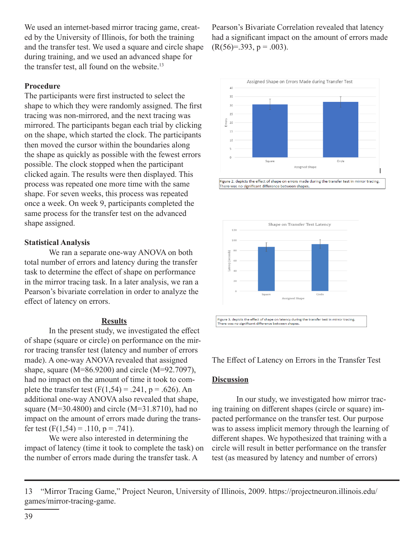We used an internet-based mirror tracing game, created by the University of Illinois, for both the training and the transfer test. We used a square and circle shape during training, and we used an advanced shape for the transfer test, all found on the website. $13$ 

#### **Procedure**

The participants were first instructed to select the shape to which they were randomly assigned. The first tracing was non-mirrored, and the next tracing was mirrored. The participants began each trial by clicking on the shape, which started the clock. The participants then moved the cursor within the boundaries along the shape as quickly as possible with the fewest errors possible. The clock stopped when the participant clicked again. The results were then displayed. This process was repeated one more time with the same shape. For seven weeks, this process was repeated once a week. On week 9, participants completed the same process for the transfer test on the advanced shape assigned.

#### **Statistical Analysis**

We ran a separate one-way ANOVA on both total number of errors and latency during the transfer task to determine the effect of shape on performance in the mirror tracing task. In a later analysis, we ran a Pearson's bivariate correlation in order to analyze the effect of latency on errors.

#### **Results**

In the present study, we investigated the effect of shape (square or circle) on performance on the mirror tracing transfer test (latency and number of errors made). A one-way ANOVA revealed that assigned shape, square (M=86.9200) and circle (M=92.7097), had no impact on the amount of time it took to complete the transfer test  $(F(1,54) = .241, p = .626)$ . An additional one-way ANOVA also revealed that shape, square (M=30.4800) and circle (M=31.8710), had no impact on the amount of errors made during the transfer test  $(F(1,54) = .110, p = .741)$ .

 We were also interested in determining the impact of latency (time it took to complete the task) on the number of errors made during the transfer task. A

Pearson's Bivariate Correlation revealed that latency had a significant impact on the amount of errors made  $(R(56)=.393, p=.003)$ .





The Effect of Latency on Errors in the Transfer Test

#### **Discussion**

In our study, we investigated how mirror tracing training on different shapes (circle or square) impacted performance on the transfer test. Our purpose was to assess implicit memory through the learning of different shapes. We hypothesized that training with a circle will result in better performance on the transfer test (as measured by latency and number of errors)

<sup>13</sup> "Mirror Tracing Game," Project Neuron, University of Illinois, 2009. https://projectneuron.illinois.edu/ games/mirror-tracing-game.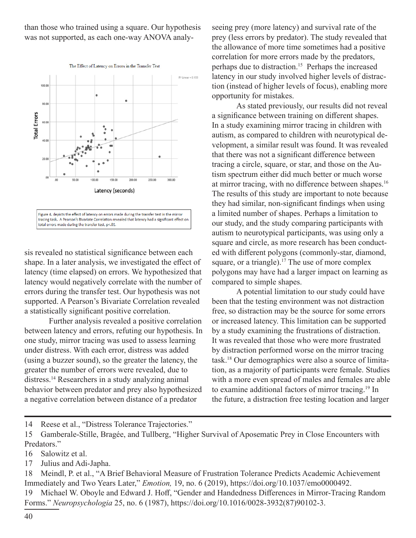than those who trained using a square. Our hypothesis was not supported, as each one-way ANOVA analy-



sis revealed no statistical significance between each shape. In a later analysis, we investigated the effect of latency (time elapsed) on errors. We hypothesized that latency would negatively correlate with the number of errors during the transfer test. Our hypothesis was not supported. A Pearson's Bivariate Correlation revealed a statistically significant positive correlation.

Further analysis revealed a positive correlation between latency and errors, refuting our hypothesis. In one study, mirror tracing was used to assess learning under distress. With each error, distress was added (using a buzzer sound), so the greater the latency, the greater the number of errors were revealed, due to distress.14 Researchers in a study analyzing animal behavior between predator and prey also hypothesized a negative correlation between distance of a predator

seeing prey (more latency) and survival rate of the prey (less errors by predator). The study revealed that the allowance of more time sometimes had a positive correlation for more errors made by the predators, perhaps due to distraction.<sup>15</sup> Perhaps the increased latency in our study involved higher levels of distraction (instead of higher levels of focus), enabling more opportunity for mistakes.

As stated previously, our results did not reveal a significance between training on different shapes. In a study examining mirror tracing in children with autism, as compared to children with neurotypical development, a similar result was found. It was revealed that there was not a significant difference between tracing a circle, square, or star, and those on the Autism spectrum either did much better or much worse at mirror tracing, with no difference between shapes.<sup>16</sup> The results of this study are important to note because they had similar, non-significant findings when using a limited number of shapes. Perhaps a limitation to our study, and the study comparing participants with autism to neurotypical participants, was using only a square and circle, as more research has been conducted with different polygons (commonly-star, diamond, square, or a triangle).<sup>17</sup> The use of more complex polygons may have had a larger impact on learning as compared to simple shapes.

A potential limitation to our study could have been that the testing environment was not distraction free, so distraction may be the source for some errors or increased latency. This limitation can be supported by a study examining the frustrations of distraction. It was revealed that those who were more frustrated by distraction performed worse on the mirror tracing task.18 Our demographics were also a source of limitation, as a majority of participants were female. Studies with a more even spread of males and females are able to examine additional factors of mirror tracing.19 In the future, a distraction free testing location and larger

14 Reese et al., "Distress Tolerance Trajectories."

- 16 Salowitz et al.
- 17 Julius and Adi-Japha.

18 Meindl, P. et al., "A Brief Behavioral Measure of Frustration Tolerance Predicts Academic Achievement Immediately and Two Years Later," *Emotion,* 19, no. 6 (2019), https://doi.org/10.1037/emo0000492. 19 Michael W. Oboyle and Edward J. Hoff, "Gender and Handedness Differences in Mirror-Tracing Random Forms." *Neuropsychologia* 25, no. 6 (1987), https://doi.org/10.1016/0028-3932(87)90102-3.

<sup>15</sup> Gamberale-Stille, Bragée, and Tullberg, "Higher Survival of Aposematic Prey in Close Encounters with Predators."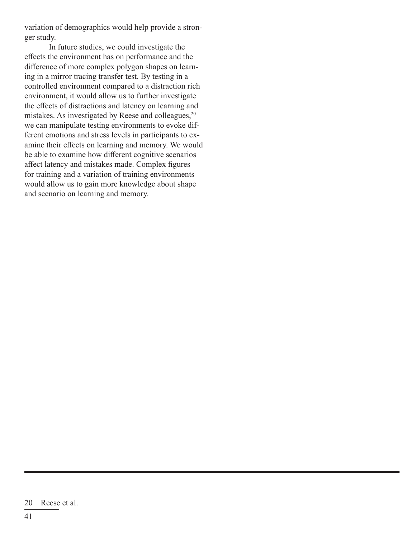variation of demographics would help provide a stronger study.

In future studies, we could investigate the effects the environment has on performance and the difference of more complex polygon shapes on learning in a mirror tracing transfer test. By testing in a controlled environment compared to a distraction rich environment, it would allow us to further investigate the effects of distractions and latency on learning and mistakes. As investigated by Reese and colleagues, $20$ we can manipulate testing environments to evoke different emotions and stress levels in participants to examine their effects on learning and memory. We would be able to examine how different cognitive scenarios affect latency and mistakes made. Complex figures for training and a variation of training environments would allow us to gain more knowledge about shape and scenario on learning and memory.

<sup>20</sup> Reese et al.